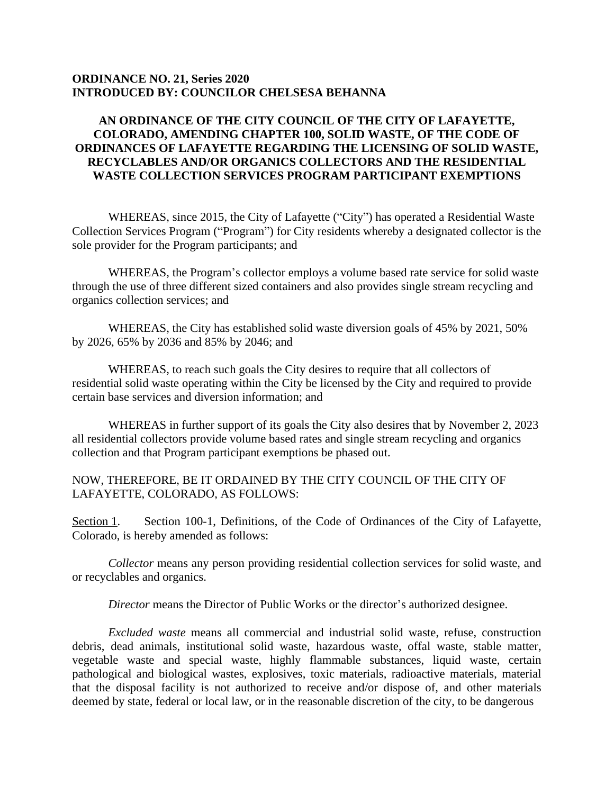## **ORDINANCE NO. 21, Series 2020 INTRODUCED BY: COUNCILOR CHELSESA BEHANNA**

## **AN ORDINANCE OF THE CITY COUNCIL OF THE CITY OF LAFAYETTE, COLORADO, AMENDING CHAPTER 100, SOLID WASTE, OF THE CODE OF ORDINANCES OF LAFAYETTE REGARDING THE LICENSING OF SOLID WASTE, RECYCLABLES AND/OR ORGANICS COLLECTORS AND THE RESIDENTIAL WASTE COLLECTION SERVICES PROGRAM PARTICIPANT EXEMPTIONS**

WHEREAS, since 2015, the City of Lafayette ("City") has operated a Residential Waste Collection Services Program ("Program") for City residents whereby a designated collector is the sole provider for the Program participants; and

WHEREAS, the Program's collector employs a volume based rate service for solid waste through the use of three different sized containers and also provides single stream recycling and organics collection services; and

WHEREAS, the City has established solid waste diversion goals of 45% by 2021, 50% by 2026, 65% by 2036 and 85% by 2046; and

WHEREAS, to reach such goals the City desires to require that all collectors of residential solid waste operating within the City be licensed by the City and required to provide certain base services and diversion information; and

WHEREAS in further support of its goals the City also desires that by November 2, 2023 all residential collectors provide volume based rates and single stream recycling and organics collection and that Program participant exemptions be phased out.

NOW, THEREFORE, BE IT ORDAINED BY THE CITY COUNCIL OF THE CITY OF LAFAYETTE, COLORADO, AS FOLLOWS:

Section 1. Section 100-1, Definitions, of the Code of Ordinances of the City of Lafayette, Colorado, is hereby amended as follows:

*Collector* means any person providing residential collection services for solid waste, and or recyclables and organics.

*Director* means the Director of Public Works or the director's authorized designee.

*Excluded waste* means all commercial and industrial solid waste, refuse, construction debris, dead animals, institutional solid waste, hazardous waste, offal waste, stable matter, vegetable waste and special waste, highly flammable substances, liquid waste, certain pathological and biological wastes, explosives, toxic materials, radioactive materials, material that the disposal facility is not authorized to receive and/or dispose of, and other materials deemed by state, federal or local law, or in the reasonable discretion of the city, to be dangerous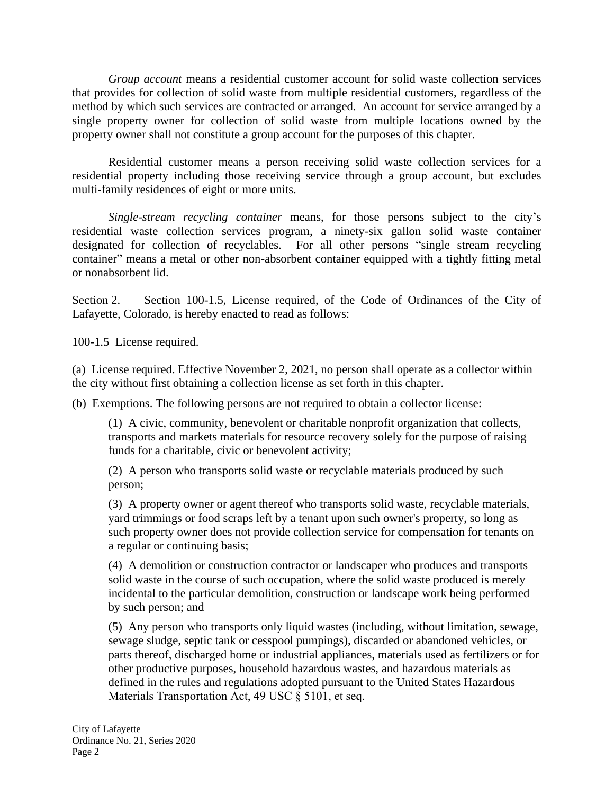*Group account* means a residential customer account for solid waste collection services that provides for collection of solid waste from multiple residential customers, regardless of the method by which such services are contracted or arranged. An account for service arranged by a single property owner for collection of solid waste from multiple locations owned by the property owner shall not constitute a group account for the purposes of this chapter.

Residential customer means a person receiving solid waste collection services for a residential property including those receiving service through a group account, but excludes multi-family residences of eight or more units.

*Single-stream recycling container* means, for those persons subject to the city's residential waste collection services program, a ninety-six gallon solid waste container designated for collection of recyclables. For all other persons "single stream recycling container" means a metal or other non-absorbent container equipped with a tightly fitting metal or nonabsorbent lid.

Section 2. Section 100-1.5, License required, of the Code of Ordinances of the City of Lafayette, Colorado, is hereby enacted to read as follows:

100-1.5 License required.

(a) License required. Effective November 2, 2021, no person shall operate as a collector within the city without first obtaining a collection license as set forth in this chapter.

(b) Exemptions. The following persons are not required to obtain a collector license:

(1) A civic, community, benevolent or charitable nonprofit organization that collects, transports and markets materials for resource recovery solely for the purpose of raising funds for a charitable, civic or benevolent activity;

(2) A person who transports solid waste or recyclable materials produced by such person;

(3) A property owner or agent thereof who transports solid waste, recyclable materials, yard trimmings or food scraps left by a tenant upon such owner's property, so long as such property owner does not provide collection service for compensation for tenants on a regular or continuing basis;

(4) A demolition or construction contractor or landscaper who produces and transports solid waste in the course of such occupation, where the solid waste produced is merely incidental to the particular demolition, construction or landscape work being performed by such person; and

(5) Any person who transports only liquid wastes (including, without limitation, sewage, sewage sludge, septic tank or cesspool pumpings), discarded or abandoned vehicles, or parts thereof, discharged home or industrial appliances, materials used as fertilizers or for other productive purposes, household hazardous wastes, and hazardous materials as defined in the rules and regulations adopted pursuant to the United States Hazardous Materials Transportation Act, 49 USC § 5101, et seq.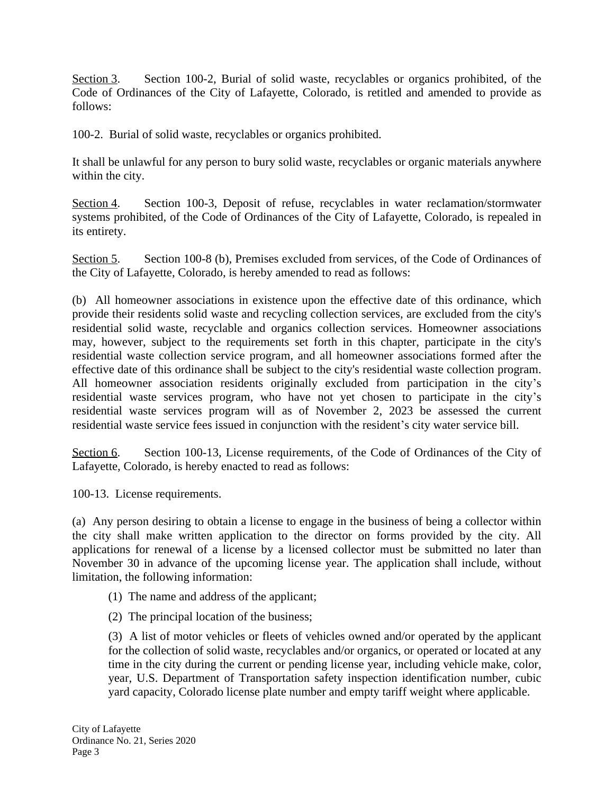Section 3. Section 100-2, Burial of solid waste, recyclables or organics prohibited, of the Code of Ordinances of the City of Lafayette, Colorado, is retitled and amended to provide as follows:

100-2. Burial of solid waste, recyclables or organics prohibited.

It shall be unlawful for any person to bury solid waste, recyclables or organic materials anywhere within the city.

Section 4. Section 100-3, Deposit of refuse, recyclables in water reclamation/stormwater systems prohibited, of the Code of Ordinances of the City of Lafayette, Colorado, is repealed in its entirety.

Section 5. Section 100-8 (b), Premises excluded from services, of the Code of Ordinances of the City of Lafayette, Colorado, is hereby amended to read as follows:

(b) All homeowner associations in existence upon the effective date of this ordinance, which provide their residents solid waste and recycling collection services, are excluded from the city's residential solid waste, recyclable and organics collection services. Homeowner associations may, however, subject to the requirements set forth in this chapter, participate in the city's residential waste collection service program, and all homeowner associations formed after the effective date of this ordinance shall be subject to the city's residential waste collection program. All homeowner association residents originally excluded from participation in the city's residential waste services program, who have not yet chosen to participate in the city's residential waste services program will as of November 2, 2023 be assessed the current residential waste service fees issued in conjunction with the resident's city water service bill.

Section 6. Section 100-13, License requirements, of the Code of Ordinances of the City of Lafayette, Colorado, is hereby enacted to read as follows:

100-13. License requirements.

(a) Any person desiring to obtain a license to engage in the business of being a collector within the city shall make written application to the director on forms provided by the city. All applications for renewal of a license by a licensed collector must be submitted no later than November 30 in advance of the upcoming license year. The application shall include, without limitation, the following information:

- (1) The name and address of the applicant;
- (2) The principal location of the business;

(3) A list of motor vehicles or fleets of vehicles owned and/or operated by the applicant for the collection of solid waste, recyclables and/or organics, or operated or located at any time in the city during the current or pending license year, including vehicle make, color, year, U.S. Department of Transportation safety inspection identification number, cubic yard capacity, Colorado license plate number and empty tariff weight where applicable.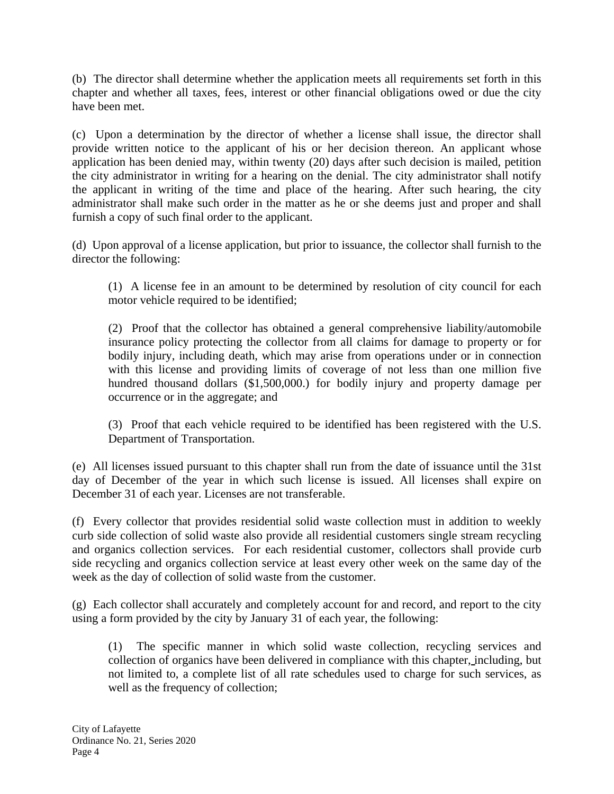(b) The director shall determine whether the application meets all requirements set forth in this chapter and whether all taxes, fees, interest or other financial obligations owed or due the city have been met.

(c) Upon a determination by the director of whether a license shall issue, the director shall provide written notice to the applicant of his or her decision thereon. An applicant whose application has been denied may, within twenty (20) days after such decision is mailed, petition the city administrator in writing for a hearing on the denial. The city administrator shall notify the applicant in writing of the time and place of the hearing. After such hearing, the city administrator shall make such order in the matter as he or she deems just and proper and shall furnish a copy of such final order to the applicant.

(d) Upon approval of a license application, but prior to issuance, the collector shall furnish to the director the following:

(1) A license fee in an amount to be determined by resolution of city council for each motor vehicle required to be identified;

(2) Proof that the collector has obtained a general comprehensive liability/automobile insurance policy protecting the collector from all claims for damage to property or for bodily injury, including death, which may arise from operations under or in connection with this license and providing limits of coverage of not less than one million five hundred thousand dollars (\$1,500,000.) for bodily injury and property damage per occurrence or in the aggregate; and

(3) Proof that each vehicle required to be identified has been registered with the U.S. Department of Transportation.

(e) All licenses issued pursuant to this chapter shall run from the date of issuance until the 31st day of December of the year in which such license is issued. All licenses shall expire on December 31 of each year. Licenses are not transferable.

(f) Every collector that provides residential solid waste collection must in addition to weekly curb side collection of solid waste also provide all residential customers single stream recycling and organics collection services. For each residential customer, collectors shall provide curb side recycling and organics collection service at least every other week on the same day of the week as the day of collection of solid waste from the customer.

(g) Each collector shall accurately and completely account for and record, and report to the city using a form provided by the city by January 31 of each year, the following:

(1) The specific manner in which solid waste collection, recycling services and collection of organics have been delivered in compliance with this chapter, including, but not limited to, a complete list of all rate schedules used to charge for such services, as well as the frequency of collection;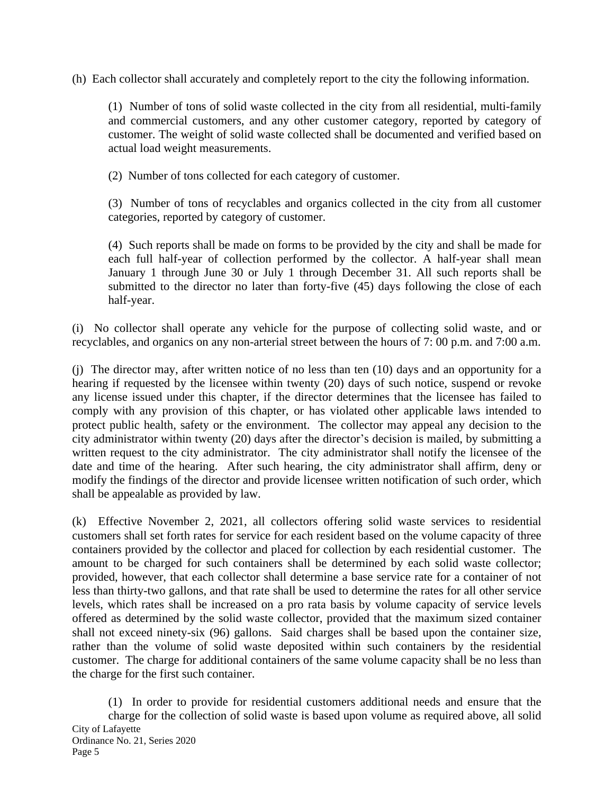(h) Each collector shall accurately and completely report to the city the following information.

(1) Number of tons of solid waste collected in the city from all residential, multi-family and commercial customers, and any other customer category, reported by category of customer. The weight of solid waste collected shall be documented and verified based on actual load weight measurements.

(2) Number of tons collected for each category of customer.

(3) Number of tons of recyclables and organics collected in the city from all customer categories, reported by category of customer.

(4) Such reports shall be made on forms to be provided by the city and shall be made for each full half-year of collection performed by the collector. A half-year shall mean January 1 through June 30 or July 1 through December 31. All such reports shall be submitted to the director no later than forty-five  $(45)$  days following the close of each half-year.

(i) No collector shall operate any vehicle for the purpose of collecting solid waste, and or recyclables, and organics on any non-arterial street between the hours of 7: 00 p.m. and 7:00 a.m.

(j) The director may, after written notice of no less than ten (10) days and an opportunity for a hearing if requested by the licensee within twenty (20) days of such notice, suspend or revoke any license issued under this chapter, if the director determines that the licensee has failed to comply with any provision of this chapter, or has violated other applicable laws intended to protect public health, safety or the environment. The collector may appeal any decision to the city administrator within twenty (20) days after the director's decision is mailed, by submitting a written request to the city administrator. The city administrator shall notify the licensee of the date and time of the hearing. After such hearing, the city administrator shall affirm, deny or modify the findings of the director and provide licensee written notification of such order, which shall be appealable as provided by law.

(k) Effective November 2, 2021, all collectors offering solid waste services to residential customers shall set forth rates for service for each resident based on the volume capacity of three containers provided by the collector and placed for collection by each residential customer. The amount to be charged for such containers shall be determined by each solid waste collector; provided, however, that each collector shall determine a base service rate for a container of not less than thirty-two gallons, and that rate shall be used to determine the rates for all other service levels, which rates shall be increased on a pro rata basis by volume capacity of service levels offered as determined by the solid waste collector, provided that the maximum sized container shall not exceed ninety-six (96) gallons. Said charges shall be based upon the container size, rather than the volume of solid waste deposited within such containers by the residential customer. The charge for additional containers of the same volume capacity shall be no less than the charge for the first such container.

(1) In order to provide for residential customers additional needs and ensure that the charge for the collection of solid waste is based upon volume as required above, all solid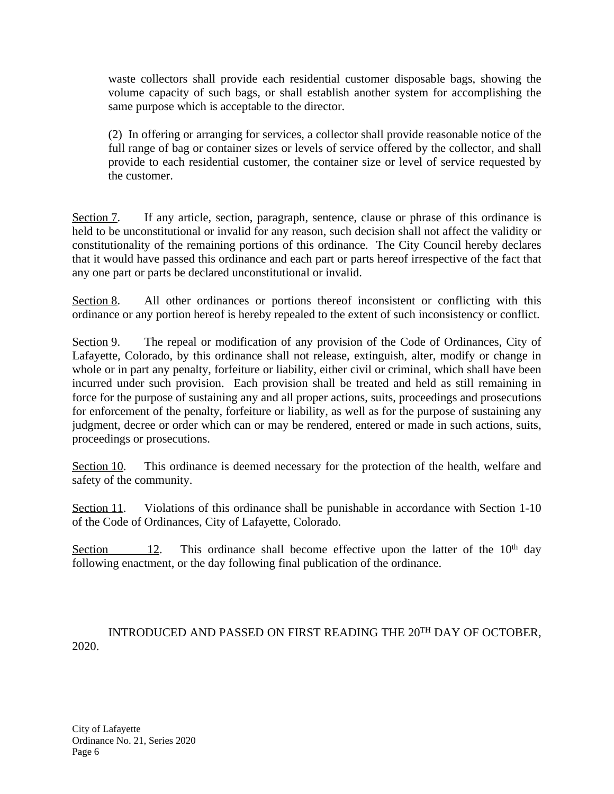waste collectors shall provide each residential customer disposable bags, showing the volume capacity of such bags, or shall establish another system for accomplishing the same purpose which is acceptable to the director.

(2) In offering or arranging for services, a collector shall provide reasonable notice of the full range of bag or container sizes or levels of service offered by the collector, and shall provide to each residential customer, the container size or level of service requested by the customer.

Section 7. If any article, section, paragraph, sentence, clause or phrase of this ordinance is held to be unconstitutional or invalid for any reason, such decision shall not affect the validity or constitutionality of the remaining portions of this ordinance. The City Council hereby declares that it would have passed this ordinance and each part or parts hereof irrespective of the fact that any one part or parts be declared unconstitutional or invalid.

Section 8. All other ordinances or portions thereof inconsistent or conflicting with this ordinance or any portion hereof is hereby repealed to the extent of such inconsistency or conflict.

Section 9. The repeal or modification of any provision of the Code of Ordinances, City of Lafayette, Colorado, by this ordinance shall not release, extinguish, alter, modify or change in whole or in part any penalty, forfeiture or liability, either civil or criminal, which shall have been incurred under such provision. Each provision shall be treated and held as still remaining in force for the purpose of sustaining any and all proper actions, suits, proceedings and prosecutions for enforcement of the penalty, forfeiture or liability, as well as for the purpose of sustaining any judgment, decree or order which can or may be rendered, entered or made in such actions, suits, proceedings or prosecutions.

Section 10. This ordinance is deemed necessary for the protection of the health, welfare and safety of the community.

Section 11. Violations of this ordinance shall be punishable in accordance with Section 1-10 of the Code of Ordinances, City of Lafayette, Colorado.

Section 12. This ordinance shall become effective upon the latter of the  $10<sup>th</sup>$  day following enactment, or the day following final publication of the ordinance.

INTRODUCED AND PASSED ON FIRST READING THE 20TH DAY OF OCTOBER, 2020.